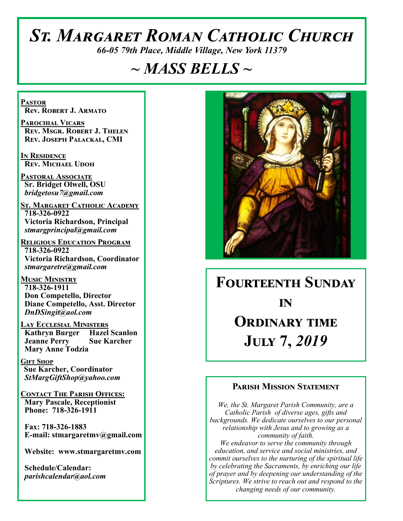# *St. Margaret Roman Catholic Church*

*66-05 79th Place, Middle Village, New York 11379*

# *~ MASS BELLS ~*

**Pastor Rev. Robert J. Armato**

**Parochial Vicars Rev. Msgr. Robert J. Thelen Rev. Joseph Palackal, CMI**

**In Residence Rev. Michael Udoh**

**Pastoral Associate Sr. Bridget Olwell, OSU**  *bridgetosu7@gmail.com*

**St. Margaret Catholic Academy 718-326-0922 Victoria Richardson, Principal**  *stmargprincipal@gmail.com*

**Religious Education Program 718-326-0922 Victoria Richardson, Coordinator** *stmargaretre@gmail.com*

**Music Ministry 718-326-1911 Don Competello, Director Diane Competello, Asst. Director** *DnDSingit@aol.com*

**Lay Ecclesial Ministers Kathryn Burger Jeanne Perry Sue Karcher Mary Anne Todzia**

**Gift Shop Sue Karcher, Coordinator** *StMargGiftShop@yahoo.com*

**Contact The Parish Offices: Mary Pascale, Receptionist Phone: 718-326-1911** 

 **Fax: 718-326-1883 E-mail: stmargaretmv@gmail.com**

 **Website: www.stmargaretmv.com**

 **Schedule/Calendar:** *parishcalendar@aol.com* 



# **Fourteenth Sunday** *in* **Ordinary time July 7,** *2019*

#### **Parish Mission Statement**

*We, the St. Margaret Parish Community, are a Catholic Parish of diverse ages, gifts and backgrounds. We dedicate ourselves to our personal relationship with Jesus and to growing as a community of faith. We endeavor to serve the community through education, and service and social ministries, and commit ourselves to the nurturing of the spiritual life by celebrating the Sacraments, by enriching our life of prayer and by deepening our understanding of the* 

*Scriptures. We strive to reach out and respond to the changing needs of our community.*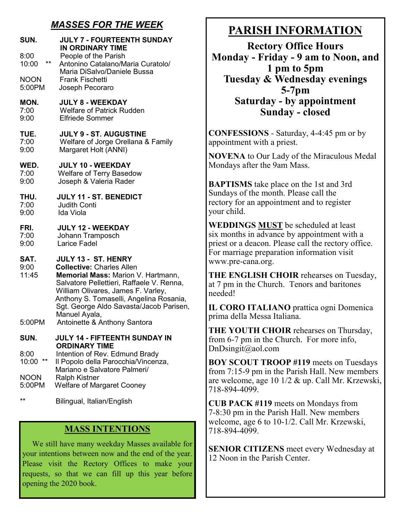#### *MASSES FOR THE WEEK*

| SUN.                            | <b>JULY 7 - FOURTEENTH SUNDAY</b><br><b>IN ORDINARY TIME</b>                                                                                                                                                                                                                                                            |
|---------------------------------|-------------------------------------------------------------------------------------------------------------------------------------------------------------------------------------------------------------------------------------------------------------------------------------------------------------------------|
| 8:00                            | People of the Parish                                                                                                                                                                                                                                                                                                    |
| $***$                           | Antonino Catalano/Maria Curatolo/                                                                                                                                                                                                                                                                                       |
| 10:00                           | Maria DiSalvo/Daniele Bussa                                                                                                                                                                                                                                                                                             |
| <b>NOON</b>                     | <b>Frank Fischetti</b>                                                                                                                                                                                                                                                                                                  |
| 5:00PM                          | Joseph Pecoraro                                                                                                                                                                                                                                                                                                         |
| MON.                            | <b>JULY 8 - WEEKDAY</b>                                                                                                                                                                                                                                                                                                 |
| 7:00                            | <b>Welfare of Patrick Rudden</b>                                                                                                                                                                                                                                                                                        |
| 9:00                            | <b>Elfriede Sommer</b>                                                                                                                                                                                                                                                                                                  |
| TUE.                            | <b>JULY 9 - ST. AUGUSTINE</b>                                                                                                                                                                                                                                                                                           |
| 7:00                            | Welfare of Jorge Orellana & Family                                                                                                                                                                                                                                                                                      |
| 9:00                            | Margaret Holt (ANNI)                                                                                                                                                                                                                                                                                                    |
| WED.                            | <b>JULY 10 - WEEKDAY</b>                                                                                                                                                                                                                                                                                                |
| 7:00                            | <b>Welfare of Terry Basedow</b>                                                                                                                                                                                                                                                                                         |
| 9:00                            | Joseph & Valeria Rader                                                                                                                                                                                                                                                                                                  |
| THU.                            | <b>JULY 11 - ST. BENEDICT</b>                                                                                                                                                                                                                                                                                           |
| 7:00                            | <b>Judith Conti</b>                                                                                                                                                                                                                                                                                                     |
| 9:00                            | Ida Viola                                                                                                                                                                                                                                                                                                               |
| FRI.                            | <b>JULY 12 - WEEKDAY</b>                                                                                                                                                                                                                                                                                                |
| 7:00                            | Johann Tramposch                                                                                                                                                                                                                                                                                                        |
| 9:00                            | Larice Fadel                                                                                                                                                                                                                                                                                                            |
| SAT.<br>9:00<br>11:45<br>5:00PM | JULY 13 - ST. HENRY<br><b>Collective: Charles Allen</b><br>Memorial Mass: Marion V. Hartmann,<br>Salvatore Pellettieri, Raffaele V. Renna,<br>William Olivares, James F. Varley,<br>Anthony S. Tomaselli, Angelina Rosania,<br>Sgt. George Aldo Savasta/Jacob Parisen,<br>Manuel Ayala,<br>Antoinette & Anthony Santora |
| SUN.                            | JULY 14 - FIFTEENTH SUNDAY IN                                                                                                                                                                                                                                                                                           |
| 8:00<br>**<br>10:00             | <b>ORDINARY TIME</b><br>Intention of Rev. Edmund Brady<br>Il Popolo della Parocchia/Vincenza,<br>Mariano e Salvatore Palmeri/                                                                                                                                                                                           |
| <b>NOON</b>                     | <b>Ralph Kistner</b>                                                                                                                                                                                                                                                                                                    |
| 5:00PM                          | <b>Welfare of Margaret Cooney</b>                                                                                                                                                                                                                                                                                       |
|                                 |                                                                                                                                                                                                                                                                                                                         |

Bilingual, Italian/English

#### **MASS INTENTIONS**

 We still have many weekday Masses available for your intentions between now and the end of the year. Please visit the Rectory Offices to make your requests, so that we can fill up this year before opening the 2020 book.

## **PARISH INFORMATION**

**Rectory Office Hours Monday - Friday - 9 am to Noon, and 1 pm to 5pm Tuesday & Wednesday evenings 5-7pm Saturday - by appointment Sunday - closed**

**CONFESSIONS** - Saturday, 4-4:45 pm or by appointment with a priest.

**NOVENA** to Our Lady of the Miraculous Medal Mondays after the 9am Mass.

**BAPTISMS** take place on the 1st and 3rd Sundays of the month. Please call the rectory for an appointment and to register your child.

**WEDDINGS MUST** be scheduled at least six months in advance by appointment with a priest or a deacon. Please call the rectory office. For marriage preparation information visit www.pre-cana.org.

**THE ENGLISH CHOIR** rehearses on Tuesday, at 7 pm in the Church. Tenors and baritones needed!

**IL CORO ITALIANO** prattica ogni Domenica prima della Messa Italiana.

**THE YOUTH CHOIR** rehearses on Thursday, from 6-7 pm in the Church. For more info, DnDsingit@aol.com

**BOY SCOUT TROOP #119** meets on Tuesdays from 7:15-9 pm in the Parish Hall. New members are welcome, age 10 1/2 & up. Call Mr. Krzewski, 718-894-4099.

**CUB PACK #119** meets on Mondays from 7-8:30 pm in the Parish Hall. New members welcome, age 6 to 10-1/2. Call Mr. Krzewski, 718-894-4099.

**SENIOR CITIZENS** meet every Wednesday at 12 Noon in the Parish Center.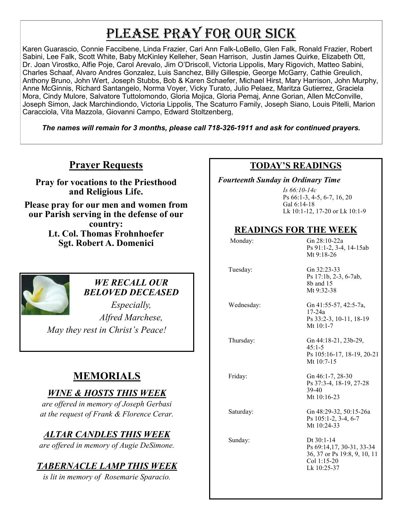# PLEASE PRAY FOR OUR SICK

Karen Guarascio, Connie Faccibene, Linda Frazier, Cari Ann Falk-LoBello, Glen Falk, Ronald Frazier, Robert Sabini, Lee Falk, Scott White, Baby McKinley Kelleher, Sean Harrison, Justin James Quirke, Elizabeth Ott, Dr. Joan Virostko, Alfie Poje, Carol Arevalo, Jim O'Driscoll, Victoria Lippolis, Mary Rigovich, Matteo Sabini, Charles Schaaf, Alvaro Andres Gonzalez, Luis Sanchez, Billy Gillespie, George McGarry, Cathie Greulich, Anthony Bruno, John Wert, Joseph Stubbs, Bob & Karen Schaefer, Michael Hirst, Mary Harrison, John Murphy, Anne McGinnis, Richard Santangelo, Norma Voyer, Vicky Turato, Julio Pelaez, Maritza Gutierrez, Graciela Mora, Cindy Mulore, Salvatore Tuttolomondo, Gloria Mojica, Gloria Pemaj, Anne Gorian, Allen McConville, Joseph Simon, Jack Marchindiondo, Victoria Lippolis, The Scaturro Family, Joseph Siano, Louis Pitelli, Marion Caracciola, Vita Mazzola, Giovanni Campo, Edward Stoltzenberg,

*The names will remain for 3 months, please call 718-326-1911 and ask for continued prayers.*

### **Prayer Requests**

**Pray for vocations to the Priesthood and Religious Life.** 

**Please pray for our men and women from our Parish serving in the defense of our country: Lt. Col. Thomas Frohnhoefer Sgt. Robert A. Domenici** 



#### *WE RECALL OUR BELOVED DECEASED*

*Especially, Alfred Marchese, May they rest in Christ's Peace!*

## **MEMORIALS**

### *WINE & HOSTS THIS WEEK*

*are offered in memory of Joseph Gerbasi at the request of Frank & Florence Cerar.* 

## *ALTAR CANDLES THIS WEEK*

*are offered in memory of Augie DeSimone.* 

#### *TABERNACLE LAMP THIS WEEK*

*is lit in memory of Rosemarie Sparacio.* 

#### **TODAY'S READINGS**

 *Fourteenth Sunday in Ordinary Time* 

*Is 66:10-14c* Ps 66:1-3, 4-5, 6-7, 16, 20 Gal 6:14-18 Lk 10:1-12, 17-20 or Lk 10:1-9

#### **READINGS FOR THE WEEK**

| Monday:    | Gn 28:10-22a<br>Ps 91:1-2, 3-4, 14-15ab<br>Mt $9:18-26$                                                 |
|------------|---------------------------------------------------------------------------------------------------------|
| Tuesday:   | Gn 32:23-33<br>Ps 17:1b, 2-3, 6-7ab,<br>8b and 15<br>Mt 9:32-38                                         |
| Wednesday: | Gn 41:55-57, 42:5-7a,<br>17-24a<br>Ps 33:2-3, 10-11, 18-19<br>Mt $10:1-7$                               |
| Thursday:  | Gn 44:18-21, 23b-29,<br>$45:1 - 5$<br>Ps 105:16-17, 18-19, 20-21<br>Mt $10:7-15$                        |
| Friday:    | Gn 46:1-7, 28-30<br>Ps 37:3-4, 18-19, 27-28<br>39-40<br>Mt $10:16-23$                                   |
| Saturday:  | Gn 48:29-32, 50:15-26a<br>Ps 105:1-2, 3-4, 6-7<br>Mt 10:24-33                                           |
| Sunday:    | Dt $30:1-14$<br>Ps 69:14,17, 30-31, 33-34<br>36, 37 or Ps 19:8, 9, 10, 11<br>Col 1:15-20<br>Lk 10:25-37 |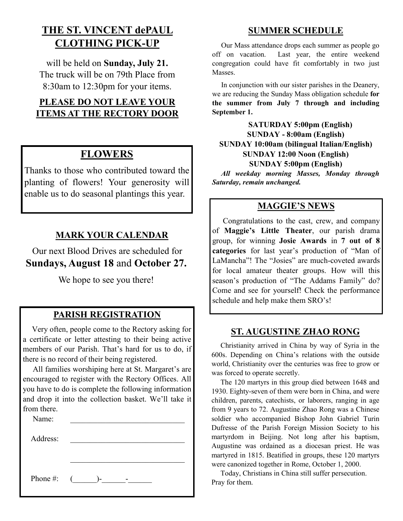## **THE ST. VINCENT dePAUL CLOTHING PICK-UP**

will be held on **Sunday, July 21.** The truck will be on 79th Place from 8:30am to 12:30pm for your items.

#### **PLEASE DO NOT LEAVE YOUR ITEMS AT THE RECTORY DOOR**

### **FLOWERS**

Thanks to those who contributed toward the planting of flowers! Your generosity will enable us to do seasonal plantings this year.

#### **MARK YOUR CALENDAR**

Our next Blood Drives are scheduled for **Sundays, August 18** and **October 27.**

We hope to see you there!

#### **PARISH REGISTRATION**

 Very often, people come to the Rectory asking for a certificate or letter attesting to their being active members of our Parish. That's hard for us to do, if there is no record of their being registered.

 All families worshiping here at St. Margaret's are encouraged to register with the Rectory Offices. All you have to do is complete the following information and drop it into the collection basket. We'll take it from there.

| Name:        |                   |
|--------------|-------------------|
| Address:     |                   |
|              |                   |
|              |                   |
| Phone #: $($ | $\mathbf{I}$<br>- |

#### **SUMMER SCHEDULE**

 Our Mass attendance drops each summer as people go off on vacation. Last year, the entire weekend congregation could have fit comfortably in two just Masses.

 In conjunction with our sister parishes in the Deanery, we are reducing the Sunday Mass obligation schedule **for the summer from July 7 through and including September 1.** 

 **SATURDAY 5:00pm (English) SUNDAY - 8:00am (English) SUNDAY 10:00am (bilingual Italian/English) SUNDAY 12:00 Noon (English) SUNDAY 5:00pm (English)**

*All weekday morning Masses, Monday through Saturday, remain unchanged.*

#### **MAGGIE'S NEWS**

 Congratulations to the cast, crew, and company of **Maggie's Little Theater**, our parish drama group, for winning **Josie Awards** in **7 out of 8 categories** for last year's production of "Man of LaMancha"! The "Josies" are much-coveted awards for local amateur theater groups. How will this season's production of "The Addams Family" do? Come and see for yourself! Check the performance schedule and help make them SRO's!

#### **ST. AUGUSTINE ZHAO RONG**

 Christianity arrived in China by way of Syria in the 600s. Depending on China's relations with the outside world, Christianity over the centuries was free to grow or was forced to operate secretly.

 The 120 martyrs in this group died between 1648 and 1930. Eighty-seven of them were born in China, and were children, parents, catechists, or laborers, ranging in age from 9 years to 72. Augustine Zhao Rong was a Chinese soldier who accompanied Bishop John Gabriel Turin Dufresse of the Parish Foreign Mission Society to his martyrdom in Beijing. Not long after his baptism, Augustine was ordained as a diocesan priest. He was martyred in 1815. Beatified in groups, these 120 martyrs were canonized together in Rome, October 1, 2000.

 Today, Christians in China still suffer persecution. Pray for them.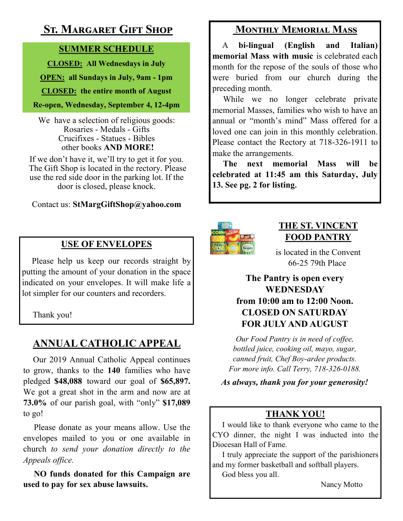## **St. Margaret Gift Shop**

#### **SUMMER SCHEDULE**

**CLOSED: All Wednesdays in July**

**OPEN: all Sundays in July, 9am - 1pm**

**CLOSED: the entire month of August**

**Re-open, Wednesday, September 4, 12-4pm** 

We have a selection of religious goods: Rosaries - Medals - Gifts Crucifixes - Statues - Bibles other books **AND MORE!**

If we don't have it, we'll try to get it for you. The Gift Shop is located in the rectory. Please use the red side door in the parking lot. If the door is closed, please knock.

#### Contact us: **StMargGiftShop@yahoo.com**

## **USE OF ENVELOPES**

Please help us keep our records straight by putting the amount of your donation in the space indicated on your envelopes. It will make life a lot simpler for our counters and recorders.

Thank you!

## **ANNUAL CATHOLIC APPEAL**

 Our 2019 Annual Catholic Appeal continues to grow, thanks to the **140** families who have pledged **\$48,088** toward our goal of **\$65,897.**  We got a great shot in the arm and now are at **73.0%** of our parish goal, with "only" **\$17,089**  to go!

 Please donate as your means allow. Use the envelopes mailed to you or one available in church *to send your donation directly to the Appeals office.*

 **NO funds donated for this Campaign are used to pay for sex abuse lawsuits.** 

## **Monthly Memorial Mass**

 A **bi-lingual (English and Italian) memorial Mass with music** is celebrated each month for the repose of the souls of those who were buried from our church during the preceding month.

 While we no longer celebrate private memorial Masses, families who wish to have an annual or "month's mind" Mass offered for a loved one can join in this monthly celebration. Please contact the Rectory at 718-326-1911 to make the arrangements.

 **The next memorial Mass will be celebrated at 11:45 am this Saturday, July 13. See pg. 2 for listing.** 



### **THE ST. VINCENT FOOD PANTRY**

is located in the Convent 66-25 79th Place

**The Pantry is open every WEDNESDAY from 10:00 am to 12:00 Noon. CLOSED ON SATURDAY FOR JULY AND AUGUST**

*Our Food Pantry is in need of coffee, bottled juice, cooking oil, mayo, sugar, canned fruit, Chef Boy-ardee products. For more info. Call Terry, 718-326-0188.* 

*As always, thank you for your generosity!*

## **THANK YOU!**

 I would like to thank everyone who came to the CYO dinner, the night I was inducted into the Diocesan Hall of Fame.

 I truly appreciate the support of the parishioners and my former basketball and softball players.

God bless you all.

Nancy Motto